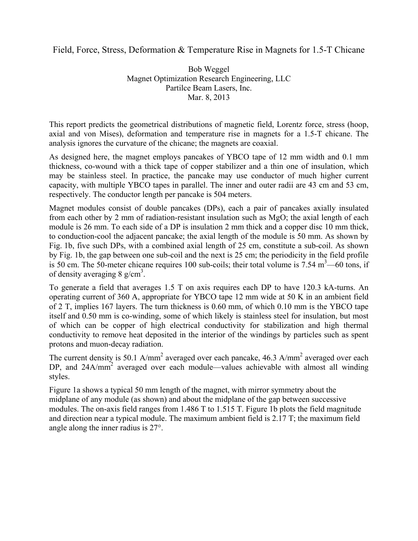## Field, Force, Stress, Deformation & Temperature Rise in Magnets for 1.5-T Chicane

Bob Weggel Magnet Optimization Research Engineering, LLC Partilce Beam Lasers, Inc. Mar. 8, 2013

This report predicts the geometrical distributions of magnetic field, Lorentz force, stress (hoop, axial and von Mises), deformation and temperature rise in magnets for a 1.5-T chicane. The analysis ignores the curvature of the chicane; the magnets are coaxial.

As designed here, the magnet employs pancakes of YBCO tape of 12 mm width and 0.1 mm thickness, co-wound with a thick tape of copper stabilizer and a thin one of insulation, which may be stainless steel. In practice, the pancake may use conductor of much higher current capacity, with multiple YBCO tapes in parallel. The inner and outer radii are 43 cm and 53 cm, respectively. The conductor length per pancake is 504 meters.

Magnet modules consist of double pancakes (DPs), each a pair of pancakes axially insulated from each other by 2 mm of radiation-resistant insulation such as MgO; the axial length of each module is 26 mm. To each side of a DP is insulation 2 mm thick and a copper disc 10 mm thick, to conduction-cool the adjacent pancake; the axial length of the module is 50 mm. As shown by Fig. 1b, five such DPs, with a combined axial length of 25 cm, constitute a sub-coil. As shown by Fig. 1b, the gap between one sub-coil and the next is 25 cm; the periodicity in the field profile is 50 cm. The 50-meter chicane requires 100 sub-coils; their total volume is  $7.54 \text{ m}^3$ —60 tons, if of density averaging 8  $g/cm<sup>3</sup>$ .

To generate a field that averages 1.5 T on axis requires each DP to have 120.3 kA-turns. An operating current of 360 A, appropriate for YBCO tape 12 mm wide at 50 K in an ambient field of 2 T, implies 167 layers. The turn thickness is 0.60 mm, of which 0.10 mm is the YBCO tape itself and 0.50 mm is co-winding, some of which likely is stainless steel for insulation, but most of which can be copper of high electrical conductivity for stabilization and high thermal conductivity to remove heat deposited in the interior of the windings by particles such as spent protons and muon-decay radiation.

The current density is 50.1 A/mm<sup>2</sup> averaged over each pancake, 46.3 A/mm<sup>2</sup> averaged over each DP, and 24A/mm<sup>2</sup> averaged over each module—values achievable with almost all winding styles.

Figure 1a shows a typical 50 mm length of the magnet, with mirror symmetry about the midplane of any module (as shown) and about the midplane of the gap between successive modules. The on-axis field ranges from 1.486 T to 1.515 T. Figure 1b plots the field magnitude and direction near a typical module. The maximum ambient field is 2.17 T; the maximum field angle along the inner radius is 27°.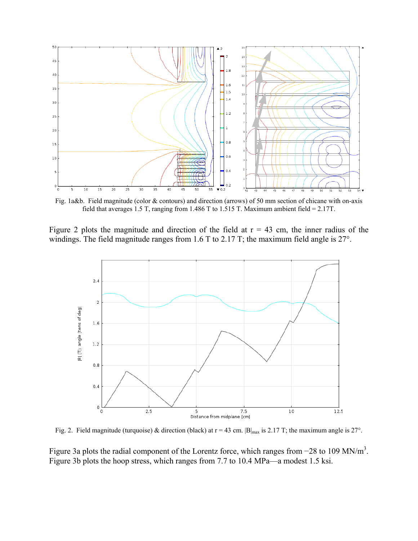

Fig. 1a&b. Field magnitude (color & contours) and direction (arrows) of 50 mm section of chicane with on-axis field that averages 1.5 T, ranging from 1.486 T to 1.515 T. Maximum ambient field = 2.17T.

Figure 2 plots the magnitude and direction of the field at  $r = 43$  cm, the inner radius of the windings. The field magnitude ranges from 1.6 T to 2.17 T; the maximum field angle is 27°.



Fig. 2. Field magnitude (turquoise) & direction (black) at  $r = 43$  cm.  $|B|_{max}$  is 2.17 T; the maximum angle is 27°.

Figure 3a plots the radial component of the Lorentz force, which ranges from  $-28$  to 109 MN/m<sup>3</sup>. Figure 3b plots the hoop stress, which ranges from 7.7 to 10.4 MPa—a modest 1.5 ksi.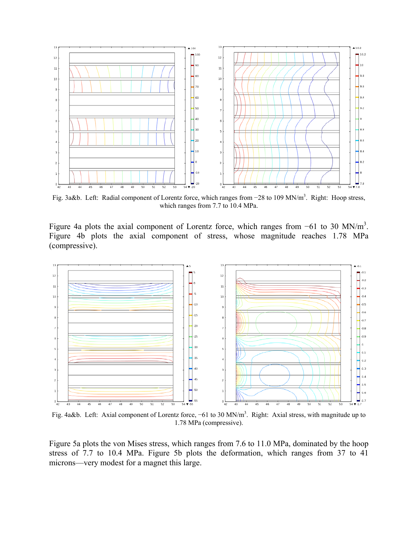

Fig. 3a&b. Left: Radial component of Lorentz force, which ranges from -28 to 109 MN/m<sup>3</sup>. Right: Hoop stress, which ranges from 7.7 to 10.4 MPa.

Figure 4a plots the axial component of Lorentz force, which ranges from  $-61$  to 30 MN/m<sup>3</sup>. Figure 4b plots the axial component of stress, whose magnitude reaches 1.78 MPa (compressive).



Fig. 4a&b. Left: Axial component of Lorentz force, -61 to 30 MN/m<sup>3</sup>. Right: Axial stress, with magnitude up to 1.78 MPa (compressive).

Figure 5a plots the von Mises stress, which ranges from 7.6 to 11.0 MPa, dominated by the hoop stress of 7.7 to 10.4 MPa. Figure 5b plots the deformation, which ranges from 37 to 41 microns—very modest for a magnet this large.